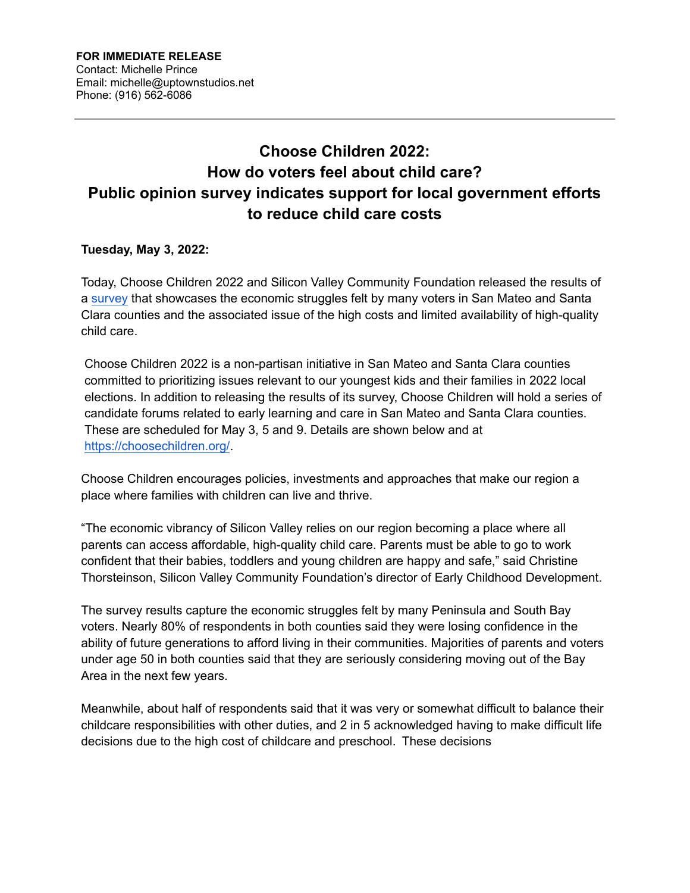## **Choose Children 2022: How do voters feel about child care? Public opinion survey indicates support for local government efforts to reduce child care costs**

## **Tuesday, May 3, 2022:**

Today, Choose Children 2022 and Silicon Valley Community Foundation released the results of [a survey](https://www.siliconvalleycf.org/sites/default/files/blog/Choose-Children-2022-San-Mateo-and-Santa-Clara-Counties-Survey-Analysis-Media-Release.pdf) that showcases the economic struggles felt by many voters in San Mateo and Santa Clara counties and the associated issue of the high costs and limited availability of high-quality child care.

Choose Children 2022 is a non-partisan initiative in San Mateo and Santa Clara counties committed to prioritizing issues relevant to our youngest kids and their families in 2022 local elections. In addition to releasing the results of its survey, Choose Children will hold a series of candidate forums related to early learning and care in San Mateo and Santa Clara counties. These are scheduled for May 3, 5 and 9. Details are shown below and at <https://choosechildren.org/>.

Choose Children encourages policies, investments and approaches that make our region a place where families with children can live and thrive.

"The economic vibrancy of Silicon Valley relies on our region becoming a place where all parents can access affordable, high-quality child care. Parents must be able to go to work confident that their babies, toddlers and young children are happy and safe," said Christine Thorsteinson, Silicon Valley Community Foundation's director of Early Childhood Development.

The survey results capture the economic struggles felt by many Peninsula and South Bay voters. Nearly 80% of respondents in both counties said they were losing confidence in the ability of future generations to afford living in their communities. Majorities of parents and voters under age 50 in both counties said that they are seriously considering moving out of the Bay Area in the next few years.

Meanwhile, about half of respondents said that it was very or somewhat difficult to balance their childcare responsibilities with other duties, and 2 in 5 acknowledged having to make difficult life decisions due to the high cost of childcare and preschool. These decisions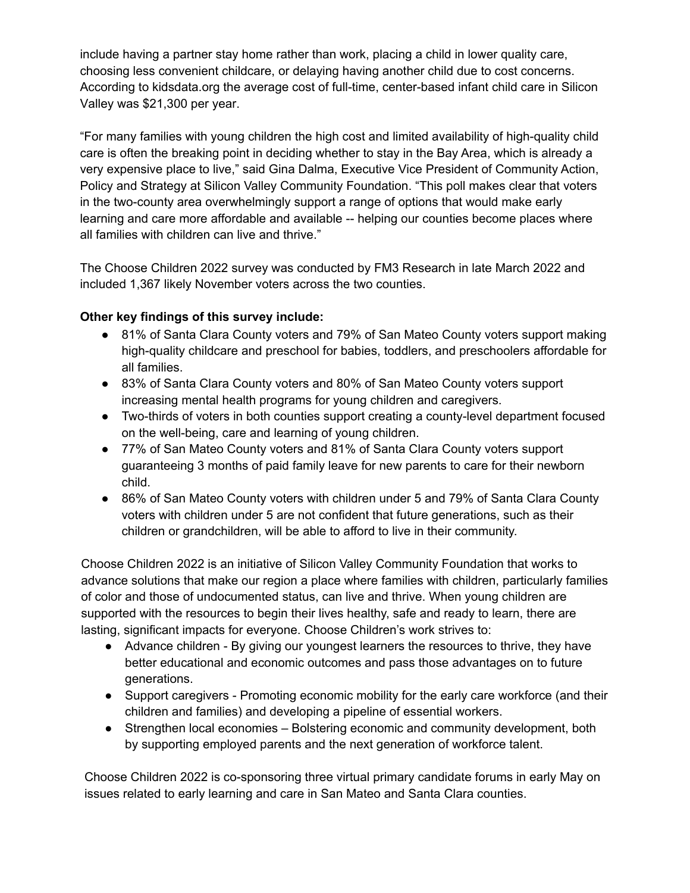include having a partner stay home rather than work, placing a child in lower quality care, choosing less convenient childcare, or delaying having another child due to cost concerns. According to kidsdata.org the average cost of full-time, center-based infant child care in Silicon Valley was \$21,300 per year.

"For many families with young children the high cost and limited availability of high-quality child care is often the breaking point in deciding whether to stay in the Bay Area, which is already a very expensive place to live," said Gina Dalma, Executive Vice President of Community Action, Policy and Strategy at Silicon Valley Community Foundation. "This poll makes clear that voters in the two-county area overwhelmingly support a range of options that would make early learning and care more affordable and available -- helping our counties become places where all families with children can live and thrive."

The Choose Children 2022 survey was conducted by FM3 Research in late March 2022 and included 1,367 likely November voters across the two counties.

## **Other key findings of this survey include:**

- 81% of Santa Clara County voters and 79% of San Mateo County voters support making high-quality childcare and preschool for babies, toddlers, and preschoolers affordable for all families.
- 83% of Santa Clara County voters and 80% of San Mateo County voters support increasing mental health programs for young children and caregivers.
- Two-thirds of voters in both counties support creating a county-level department focused on the well-being, care and learning of young children.
- 77% of San Mateo County voters and 81% of Santa Clara County voters support guaranteeing 3 months of paid family leave for new parents to care for their newborn child.
- 86% of San Mateo County voters with children under 5 and 79% of Santa Clara County voters with children under 5 are not confident that future generations, such as their children or grandchildren, will be able to afford to live in their community.

Choose Children 2022 is an initiative of Silicon Valley Community Foundation that works to advance solutions that make our region a place where families with children, particularly families of color and those of undocumented status, can live and thrive. When young children are supported with the resources to begin their lives healthy, safe and ready to learn, there are lasting, significant impacts for everyone. Choose Children's work strives to:

- Advance children By giving our youngest learners the resources to thrive, they have better educational and economic outcomes and pass those advantages on to future generations.
- Support caregivers Promoting economic mobility for the early care workforce (and their children and families) and developing a pipeline of essential workers.
- Strengthen local economies Bolstering economic and community development, both by supporting employed parents and the next generation of workforce talent.

Choose Children 2022 is co-sponsoring three virtual primary candidate forums in early May on issues related to early learning and care in San Mateo and Santa Clara counties.